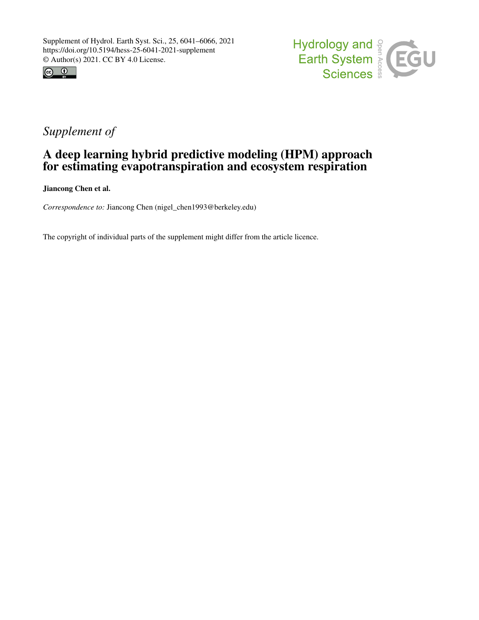



# *Supplement of*

## A deep learning hybrid predictive modeling (HPM) approach for estimating evapotranspiration and ecosystem respiration

Jiancong Chen et al.

*Correspondence to:* Jiancong Chen (nigel\_chen1993@berkeley.edu)

The copyright of individual parts of the supplement might differ from the article licence.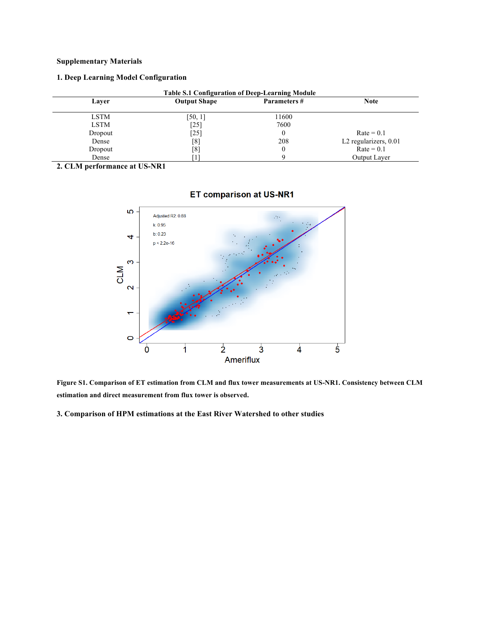### **Supplementary Materials**

### **1. Deep Learning Model Configuration**

| <b>Table S.1 Configuration of Deep-Learning Module</b> |                     |              |                                   |
|--------------------------------------------------------|---------------------|--------------|-----------------------------------|
| Layer                                                  | <b>Output Shape</b> | Parameters # | <b>Note</b>                       |
| LSTM                                                   | [50, 1]             | 11600        |                                   |
| <b>LSTM</b>                                            | [25]                | 7600         |                                   |
| Dropout                                                | $\left[ 25\right]$  |              | $Rate = 0.1$                      |
| Dense                                                  | [8]                 | 208          | L <sub>2</sub> regularizers, 0.01 |
| Dropout                                                | [8]                 |              | $Rate = 0.1$                      |
| Dense                                                  |                     |              | <b>Output Layer</b>               |

**2. CLM performance at US-NR1**



### **ET comparison at US-NR1**

**Figure S1. Comparison of ET estimation from CLM and flux tower measurements at US-NR1. Consistency between CLM estimation and direct measurement from flux tower is observed.** 

**3. Comparison of HPM estimations at the East River Watershed to other studies**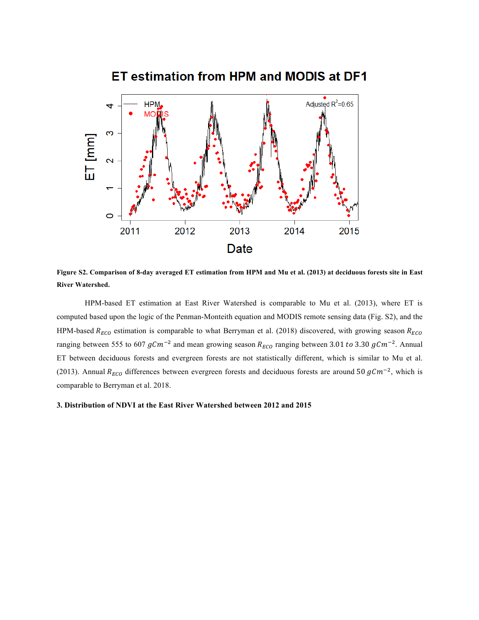

ET estimation from HPM and MODIS at DF1

**Figure S2. Comparison of 8-day averaged ET estimation from HPM and Mu et al. (2013) at deciduous forests site in East River Watershed.**

HPM-based ET estimation at East River Watershed is comparable to Mu et al. (2013), where ET is computed based upon the logic of the Penman-Monteith equation and MODIS remote sensing data (Fig. S2), and the HPM-based  $R_{ECO}$  estimation is comparable to what Berryman et al. (2018) discovered, with growing season  $R_{ECO}$ ranging between 555 to 607  $gCm^{-2}$  and mean growing season  $R_{ECO}$  ranging between 3.01 to 3.30  $gCm^{-2}$ . Annual ET between deciduous forests and evergreen forests are not statistically different, which is similar to Mu et al. (2013). Annual  $R_{ECO}$  differences between evergreen forests and deciduous forests are around 50  $gCm^{-2}$ , which is comparable to Berryman et al. 2018.

#### **3. Distribution of NDVI at the East River Watershed between 2012 and 2015**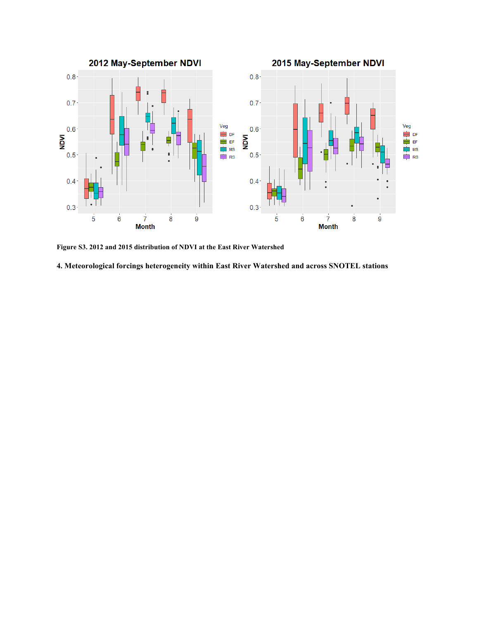

**Figure S3. 2012 and 2015 distribution of NDVI at the East River Watershed** 

**4. Meteorological forcings heterogeneity within East River Watershed and across SNOTEL stations**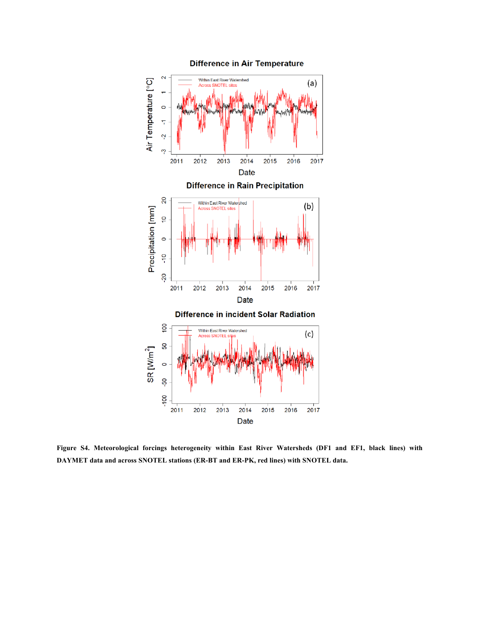

**Figure S4. Meteorological forcings heterogeneity within East River Watersheds (DF1 and EF1, black lines) with DAYMET data and across SNOTEL stations (ER-BT and ER-PK, red lines) with SNOTEL data.**